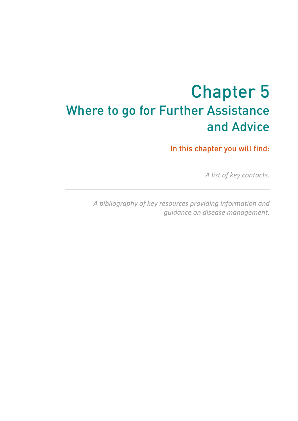# **<sup>1</sup>** Chapter 5 Where to go for Further Assistance and Advice

In this chapter you will find:

*A list of key contacts.* 

*A bibliography of key resources providing information and guidance on disease management.*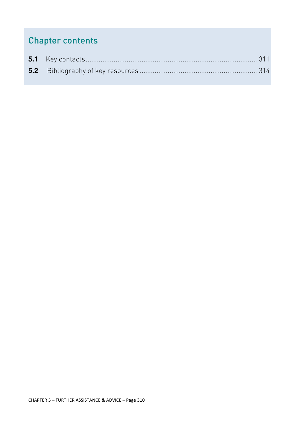## Chapter contents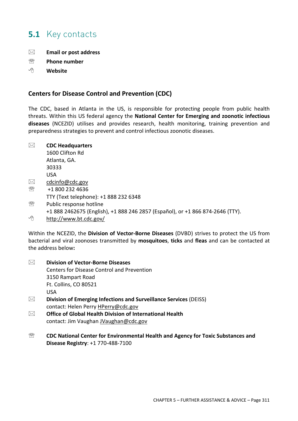## **5.1** Key contacts

- **Email or post address**
- ℡ **Phone number**
- 게 **Website**

#### **Centers for Disease Control and Prevention (CDC)**

The CDC, based in Atlanta in the US, is responsible for protecting people from public health threats. Within this US federal agency the **National Center for Emerging and zoonotic infectious diseases** (NCEZID) utilises and provides research, health monitoring, training prevention and preparedness strategies to prevent and control infectious zoonotic diseases.

**CDC Headquarters** 

1600 Clifton Rd Atlanta, GA. 30333 USA  $\boxtimes$  cdcinfo@cdc.gov <sup></sub> <del>■ +1</del> 800 232 4636</sup> TTY (Text telephone): +1 888 232 6348

- **图** Public response hotline +1 888 2462675 (English), +1 888 246 2857 (Español), or +1 866 874-2646 (TTY).
- ∕मे http://www.bt.cdc.gov/

Within the NCEZID, the **Division of Vector-Borne Diseases** (DVBD) strives to protect the US from bacterial and viral zoonoses transmitted by **mosquitoes**, **ticks** and **fleas** and can be contacted at the address below**:** 

- **Division of Vector-Borne Diseases** Centers for Disease Control and Prevention 3150 Rampart Road Ft. Collins, CO 80521 USA **Division of Emerging Infections and Surveillance Services** (DEISS) contact: Helen Perry HPerry@cdc.gov **Office of Global Health Division of International Health**
	- contact: Jim Vaughan JVaughan@cdc.gov
- **S** CDC National Center for Environmental Health and Agency for Toxic Substances and **Disease Registry**: +1 770-488-7100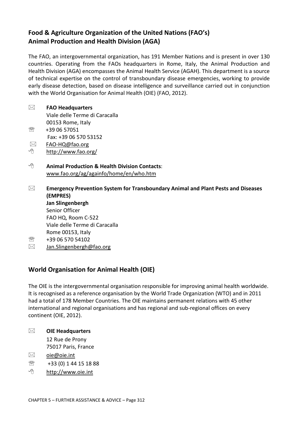### **Food & Agriculture Organization of the United Nations (FAO's) Animal Production and Health Division (AGA)**

The FAO, an intergovernmental organization, has 191 Member Nations and is present in over 130 countries. Operating from the FAOs headquarters in Rome, Italy, the Animal Production and Health Division (AGA) encompasses the Animal Health Service (AGAH). This department is a source of technical expertise on the control of transboundary disease emergencies, working to provide early disease detection, based on disease intelligence and surveillance carried out in conjunction with the World Organisation for Animal Health (OIE) (FAO, 2012).

## **FAO Headquarters**

Viale delle Terme di Caracalla 00153 Rome, Italy ℡ +39 06 57051 Fax: +39 06 570 53152

- FAO-HQ@fao.org
- 게 http://www.fao.org/
- 게  **Animal Production & Health Division Contacts**: www.fao.org/ag/againfo/home/en/who.htm
- **Emergency Prevention System for Transboundary Animal and Plant Pests and Diseases (EMPRES) Jan Slingenbergh** Senior Officer FAO HQ, Room C-522 Viale delle Terme di Caracalla Rome 00153, Italy  $\circledR$  +39 06 570 54102
- $\boxtimes$  Jan.Slingenbergh@fao.org

## **World Organisation for Animal Health (OIE)**

The OIE is the intergovernmental organisation responsible for improving animal health worldwide. It is recognised as a reference organisation by the World Trade Organization (WTO) and in 2011 had a total of 178 Member Countries. The OIE maintains permanent relations with 45 other international and regional organisations and has regional and sub-regional offices on every continent (OIE, 2012).

**OIE Headquarters** 

12 Rue de Prony 75017 Paris, France

- $\boxtimes$  oie@oie.int
- $\circledR$  +33 (0) 1 44 15 18 88
- ∕⊕ http://www.oie.int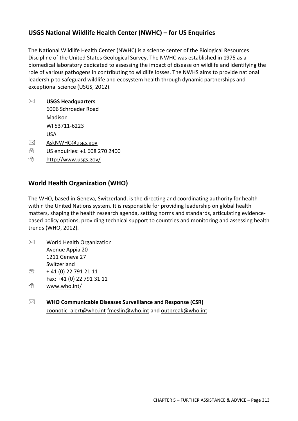#### **USGS National Wildlife Health Center (NWHC) – for US Enquiries**

The National Wildlife Health Center (NWHC) is a science center of the Biological Resources Discipline of the United States Geological Survey. The NWHC was established in 1975 as a biomedical laboratory dedicated to assessing the impact of disease on wildlife and identifying the role of various pathogens in contributing to wildlife losses. The NWHS aims to provide national leadership to safeguard wildlife and ecosystem health through dynamic partnerships and exceptional science (USGS, 2012).

**USGS Headquarters** 

6006 Schroeder Road Madison WI 53711-6223

USA

- $\boxtimes$  AskNWHC@usgs.gov
- **WE US enquiries: +1 608 270 2400**
- ∕⊕ http://www.usgs.gov/

#### **World Health Organization (WHO)**

The WHO, based in Geneva, Switzerland, is the directing and coordinating authority for health within the United Nations system. It is responsible for providing leadership on global health matters, shaping the health research agenda, setting norms and standards, articulating evidencebased policy options, providing technical support to countries and monitoring and assessing health trends (WHO, 2012).

- $\boxtimes$  World Health Organization Avenue Appia 20 1211 Geneva 27 **Switzerland**  $\textcircled{2}$  + 41 (0) 22 791 21 11
- Fax: +41 (0) 22 791 31 11
- ≁ www.who.int/
- **WHO Communicable Diseases Surveillance and Response (CSR)** zoonotic\_alert@who.int fmeslin@who.int and outbreak@who.int